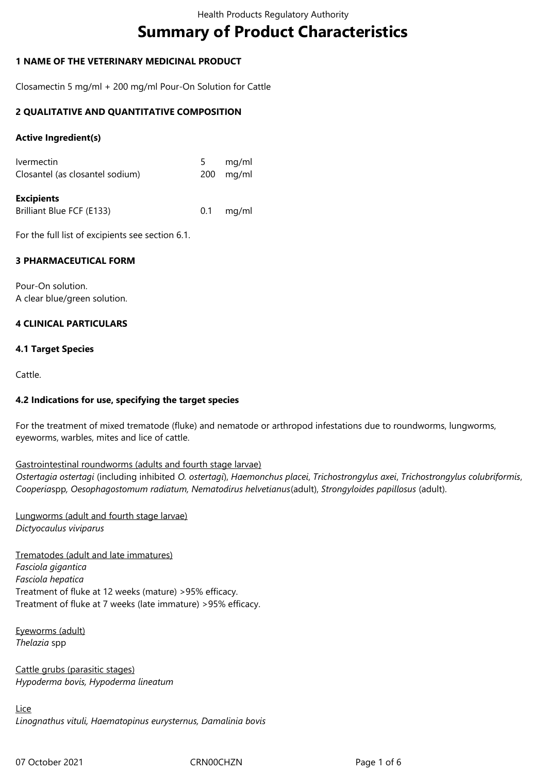# **Summary of Product Characteristics**

## **1 NAME OF THE VETERINARY MEDICINAL PRODUCT**

Closamectin 5 mg/ml + 200 mg/ml Pour-On Solution for Cattle

## **2 QUALITATIVE AND QUANTITATIVE COMPOSITION**

## **Active Ingredient(s)**

| <b>Excipients</b>                                    |   |                              |
|------------------------------------------------------|---|------------------------------|
| <b>Ivermectin</b><br>Closantel (as closantel sodium) | 5 | mg/ml<br>$200 \text{ mg/ml}$ |
|                                                      |   |                              |

Brilliant Blue FCF (E133) 0.1 mg/ml

For the full list of excipients see section 6.1.

## **3 PHARMACEUTICAL FORM**

Pour-On solution. A clear blue/green solution.

## **4 CLINICAL PARTICULARS**

## **4.1 Target Species**

Cattle.

#### **4.2 Indications for use, specifying the target species**

For the treatment of mixed trematode (fluke) and nematode or arthropod infestations due to roundworms, lungworms, eyeworms, warbles, mites and lice of cattle.

#### Gastrointestinal roundworms (adults and fourth stage larvae)

*Ostertagia ostertagi* (including inhibited *O. ostertagi*), *Haemonchus placei*, *Trichostrongylus axei*, *Trichostrongylus colubriformis*, *Cooperia*spp*, Oesophagostomum radiatum, Nematodirus helvetianus*(adult), *Strongyloides papillosus* (adult).

Lungworms (adult and fourth stage larvae) *Dictyocaulus viviparus*

Trematodes (adult and late immatures) *Fasciola gigantica Fasciola hepatica* Treatment of fluke at 12 weeks (mature) >95% efficacy. Treatment of fluke at 7 weeks (late immature) >95% efficacy.

Eyeworms (adult) *Thelazia* spp

Cattle grubs (parasitic stages) *Hypoderma bovis, Hypoderma lineatum*

Lice *Linognathus vituli, Haematopinus eurysternus, Damalinia bovis*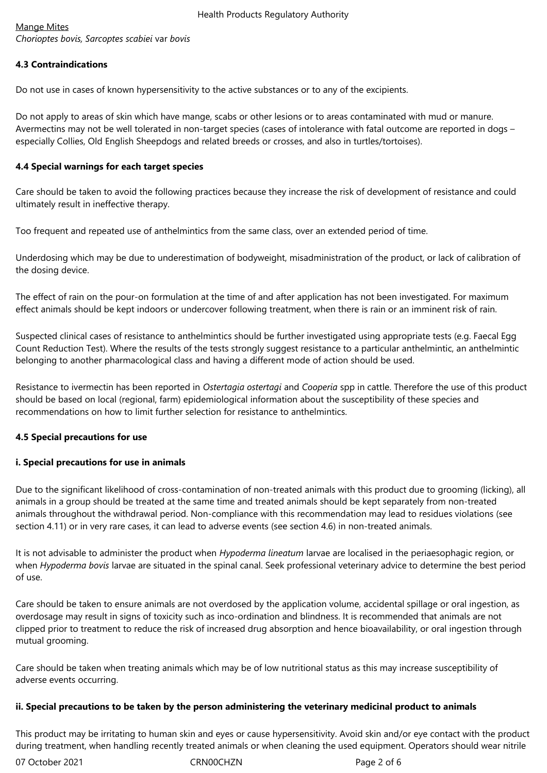## Mange Mites

*Chorioptes bovis, Sarcoptes scabiei* var *bovis*

## **4.3 Contraindications**

Do not use in cases of known hypersensitivity to the active substances or to any of the excipients.

Do not apply to areas of skin which have mange, scabs or other lesions or to areas contaminated with mud or manure. Avermectins may not be well tolerated in non-target species (cases of intolerance with fatal outcome are reported in dogs – especially Collies, Old English Sheepdogs and related breeds or crosses, and also in turtles/tortoises).

## **4.4 Special warnings for each target species**

Care should be taken to avoid the following practices because they increase the risk of development of resistance and could ultimately result in ineffective therapy.

Too frequent and repeated use of anthelmintics from the same class, over an extended period of time.

Underdosing which may be due to underestimation of bodyweight, misadministration of the product, or lack of calibration of the dosing device.

The effect of rain on the pour-on formulation at the time of and after application has not been investigated. For maximum effect animals should be kept indoors or undercover following treatment, when there is rain or an imminent risk of rain.

Suspected clinical cases of resistance to anthelmintics should be further investigated using appropriate tests (e.g. Faecal Egg Count Reduction Test). Where the results of the tests strongly suggest resistance to a particular anthelmintic, an anthelmintic belonging to another pharmacological class and having a different mode of action should be used.

Resistance to ivermectin has been reported in *Ostertagia ostertagi* and *Cooperia* spp in cattle. Therefore the use of this product should be based on local (regional, farm) epidemiological information about the susceptibility of these species and recommendations on how to limit further selection for resistance to anthelmintics.

## **4.5 Special precautions for use**

## **i. Special precautions for use in animals**

Due to the significant likelihood of cross-contamination of non-treated animals with this product due to grooming (licking), all animals in a group should be treated at the same time and treated animals should be kept separately from non-treated animals throughout the withdrawal period. Non-compliance with this recommendation may lead to residues violations (see section 4.11) or in very rare cases, it can lead to adverse events (see section 4.6) in non-treated animals.

It is not advisable to administer the product when *Hypoderma lineatum* larvae are localised in the periaesophagic region, or when *Hypoderma bovis* larvae are situated in the spinal canal. Seek professional veterinary advice to determine the best period of use.

Care should be taken to ensure animals are not overdosed by the application volume, accidental spillage or oral ingestion, as overdosage may result in signs of toxicity such as inco-ordination and blindness. It is recommended that animals are not clipped prior to treatment to reduce the risk of increased drug absorption and hence bioavailability, or oral ingestion through mutual grooming.

Care should be taken when treating animals which may be of low nutritional status as this may increase susceptibility of adverse events occurring.

#### **ii. Special precautions to be taken by the person administering the veterinary medicinal product to animals**

This product may be irritating to human skin and eyes or cause hypersensitivity. Avoid skin and/or eye contact with the product during treatment, when handling recently treated animals or when cleaning the used equipment. Operators should wear nitrile

07 October 2021 CRN00CHZN Page 2 of 6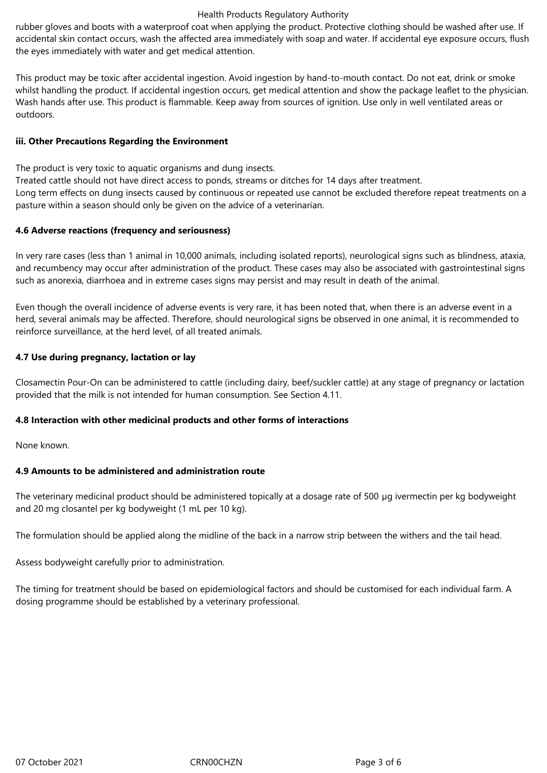rubber gloves and boots with a waterproof coat when applying the product. Protective clothing should be washed after use. If accidental skin contact occurs, wash the affected area immediately with soap and water. If accidental eye exposure occurs, flush the eyes immediately with water and get medical attention.

This product may be toxic after accidental ingestion. Avoid ingestion by hand-to-mouth contact. Do not eat, drink or smoke whilst handling the product. If accidental ingestion occurs, get medical attention and show the package leaflet to the physician. Wash hands after use. This product is flammable. Keep away from sources of ignition. Use only in well ventilated areas or outdoors.

## **iii. Other Precautions Regarding the Environment**

The product is very toxic to aquatic organisms and dung insects.

Treated cattle should not have direct access to ponds, streams or ditches for 14 days after treatment. Long term effects on dung insects caused by continuous or repeated use cannot be excluded therefore repeat treatments on a

pasture within a season should only be given on the advice of a veterinarian.

## **4.6 Adverse reactions (frequency and seriousness)**

In very rare cases (less than 1 animal in 10,000 animals, including isolated reports), neurological signs such as blindness, ataxia, and recumbency may occur after administration of the product. These cases may also be associated with gastrointestinal signs such as anorexia, diarrhoea and in extreme cases signs may persist and may result in death of the animal.

Even though the overall incidence of adverse events is very rare, it has been noted that, when there is an adverse event in a herd, several animals may be affected. Therefore, should neurological signs be observed in one animal, it is recommended to reinforce surveillance, at the herd level, of all treated animals.

## **4.7 Use during pregnancy, lactation or lay**

Closamectin Pour-On can be administered to cattle (including dairy, beef/suckler cattle) at any stage of pregnancy or lactation provided that the milk is not intended for human consumption. See Section 4.11.

## **4.8 Interaction with other medicinal products and other forms of interactions**

None known.

## **4.9 Amounts to be administered and administration route**

The veterinary medicinal product should be administered topically at a dosage rate of 500 µg ivermectin per kg bodyweight and 20 mg closantel per kg bodyweight (1 mL per 10 kg).

The formulation should be applied along the midline of the back in a narrow strip between the withers and the tail head.

Assess bodyweight carefully prior to administration.

The timing for treatment should be based on epidemiological factors and should be customised for each individual farm. A dosing programme should be established by a veterinary professional.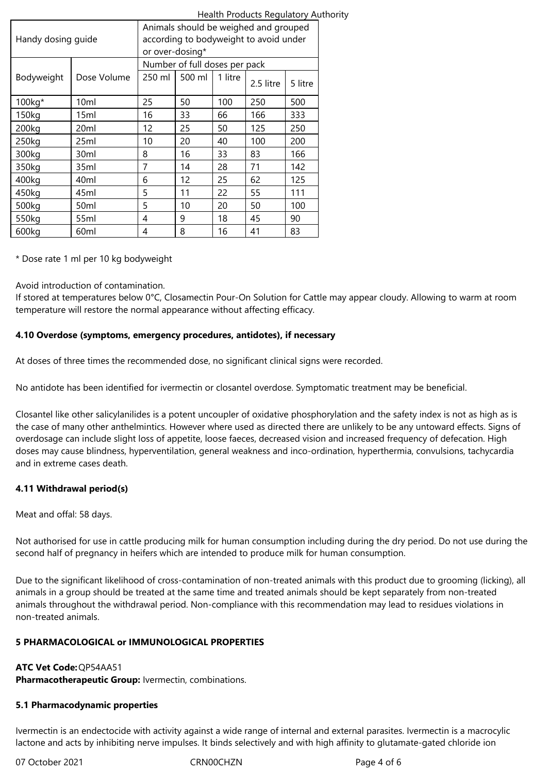| Handy dosing guide |                  | Animals should be weighed and grouped<br>according to bodyweight to avoid under<br>or over-dosing* |        |         |           |         |  |
|--------------------|------------------|----------------------------------------------------------------------------------------------------|--------|---------|-----------|---------|--|
|                    |                  | Number of full doses per pack                                                                      |        |         |           |         |  |
| Bodyweight         | Dose Volume      | 250 ml                                                                                             | 500 ml | 1 litre | 2.5 litre | 5 litre |  |
| 100kg*             | 10ml             | 25                                                                                                 | 50     | 100     | 250       | 500     |  |
| 150kg              | 15ml             | 16                                                                                                 | 33     | 66      | 166       | 333     |  |
| 200kg              | 20ml             | 12                                                                                                 | 25     | 50      | 125       | 250     |  |
| 250kg              | 25ml             | 10                                                                                                 | 20     | 40      | 100       | 200     |  |
| 300kg              | 30ml             | 8                                                                                                  | 16     | 33      | 83        | 166     |  |
| 350kg              | 35ml             | 7                                                                                                  | 14     | 28      | 71        | 142     |  |
| 400kg              | 40 <sub>ml</sub> | 6                                                                                                  | 12     | 25      | 62        | 125     |  |
| 450kg              | 45ml             | 5                                                                                                  | 11     | 22      | 55        | 111     |  |
| 500kg              | 50ml             | 5                                                                                                  | 10     | 20      | 50        | 100     |  |
| 550kg              | 55ml             | 4                                                                                                  | 9      | 18      | 45        | 90      |  |
| 600kg              | 60ml             | 4                                                                                                  | 8      | 16      | 41        | 83      |  |

\* Dose rate 1 ml per 10 kg bodyweight

Avoid introduction of contamination.

If stored at temperatures below 0°C, Closamectin Pour-On Solution for Cattle may appear cloudy. Allowing to warm at room temperature will restore the normal appearance without affecting efficacy.

## **4.10 Overdose (symptoms, emergency procedures, antidotes), if necessary**

At doses of three times the recommended dose, no significant clinical signs were recorded.

No antidote has been identified for ivermectin or closantel overdose. Symptomatic treatment may be beneficial.

Closantel like other salicylanilides is a potent uncoupler of oxidative phosphorylation and the safety index is not as high as is the case of many other anthelmintics. However where used as directed there are unlikely to be any untoward effects. Signs of overdosage can include slight loss of appetite, loose faeces, decreased vision and increased frequency of defecation. High doses may cause blindness, hyperventilation, general weakness and inco-ordination, hyperthermia, convulsions, tachycardia and in extreme cases death.

## **4.11 Withdrawal period(s)**

Meat and offal: 58 days.

Not authorised for use in cattle producing milk for human consumption including during the dry period. Do not use during the second half of pregnancy in heifers which are intended to produce milk for human consumption.

Due to the significant likelihood of cross-contamination of non-treated animals with this product due to grooming (licking), all animals in a group should be treated at the same time and treated animals should be kept separately from non-treated animals throughout the withdrawal period. Non-compliance with this recommendation may lead to residues violations in non-treated animals.

## **5 PHARMACOLOGICAL or IMMUNOLOGICAL PROPERTIES**

## **ATC Vet Code:** QP54AA51

**Pharmacotherapeutic Group:** Ivermectin, combinations.

## **5.1 Pharmacodynamic properties**

Ivermectin is an endectocide with activity against a wide range of internal and external parasites. Ivermectin is a macrocylic lactone and acts by inhibiting nerve impulses. It binds selectively and with high affinity to glutamate-gated chloride ion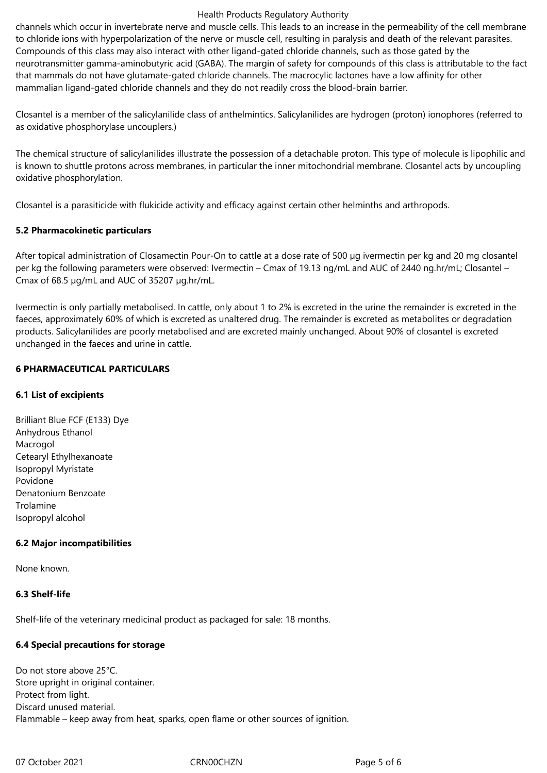channels which occur in invertebrate nerve and muscle cells. This leads to an increase in the permeability of the cell membrane to chloride ions with hyperpolarization of the nerve or muscle cell, resulting in paralysis and death of the relevant parasites. Compounds of this class may also interact with other ligand-gated chloride channels, such as those gated by the neurotransmitter gamma-aminobutyric acid (GABA). The margin of safety for compounds of this class is attributable to the fact that mammals do not have glutamate-gated chloride channels. The macrocylic lactones have a low affinity for other mammalian ligand-gated chloride channels and they do not readily cross the blood-brain barrier.

Closantel is a member of the salicylanilide class of anthelmintics. Salicylanilides are hydrogen (proton) ionophores (referred to as oxidative phosphorylase uncouplers.)

The chemical structure of salicylanilides illustrate the possession of a detachable proton. This type of molecule is lipophilic and is known to shuttle protons across membranes, in particular the inner mitochondrial membrane. Closantel acts by uncoupling oxidative phosphorylation.

Closantel is a parasiticide with flukicide activity and efficacy against certain other helminths and arthropods.

#### **5.2 Pharmacokinetic particulars**

After topical administration of Closamectin Pour-On to cattle at a dose rate of 500 µg ivermectin per kg and 20 mg closantel per kg the following parameters were observed: Ivermectin – Cmax of 19.13 ng/mL and AUC of 2440 ng.hr/mL; Closantel – Cmax of 68.5 µg/mL and AUC of 35207 µg.hr/mL.

Ivermectin is only partially metabolised. In cattle, only about 1 to 2% is excreted in the urine the remainder is excreted in the faeces, approximately 60% of which is excreted as unaltered drug. The remainder is excreted as metabolites or degradation products. Salicylanilides are poorly metabolised and are excreted mainly unchanged. About 90% of closantel is excreted unchanged in the faeces and urine in cattle.

#### **6 PHARMACEUTICAL PARTICULARS**

#### **6.1 List of excipients**

Brilliant Blue FCF (E133) Dye Anhydrous Ethanol Macrogol Cetearyl Ethylhexanoate Isopropyl Myristate Povidone Denatonium Benzoate Trolamine Isopropyl alcohol

#### **6.2 Major incompatibilities**

None known.

#### **6.3 Shelf-life**

Shelf-life of the veterinary medicinal product as packaged for sale: 18 months.

#### **6.4 Special precautions for storage**

Do not store above 25°C. Store upright in original container. Protect from light. Discard unused material. Flammable – keep away from heat, sparks, open flame or other sources of ignition.